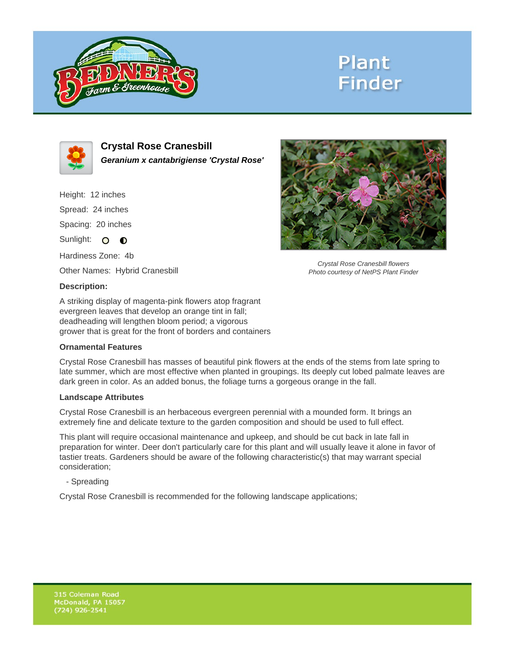

## **Plant Finder**



**Crystal Rose Cranesbill Geranium x cantabrigiense 'Crystal Rose'**

Height: 12 inches Spread: 24 inches Spacing: 20 inches Sunlight: O **O** 

Hardiness Zone: 4b

Other Names: Hybrid Cranesbill

### **Description:**

A striking display of magenta-pink flowers atop fragrant evergreen leaves that develop an orange tint in fall; deadheading will lengthen bloom period; a vigorous grower that is great for the front of borders and containers

#### **Ornamental Features**

Crystal Rose Cranesbill has masses of beautiful pink flowers at the ends of the stems from late spring to late summer, which are most effective when planted in groupings. Its deeply cut lobed palmate leaves are dark green in color. As an added bonus, the foliage turns a gorgeous orange in the fall.

#### **Landscape Attributes**

Crystal Rose Cranesbill is an herbaceous evergreen perennial with a mounded form. It brings an extremely fine and delicate texture to the garden composition and should be used to full effect.

This plant will require occasional maintenance and upkeep, and should be cut back in late fall in preparation for winter. Deer don't particularly care for this plant and will usually leave it alone in favor of tastier treats. Gardeners should be aware of the following characteristic(s) that may warrant special consideration;

- Spreading

Crystal Rose Cranesbill is recommended for the following landscape applications;



Crystal Rose Cranesbill flowers Photo courtesy of NetPS Plant Finder